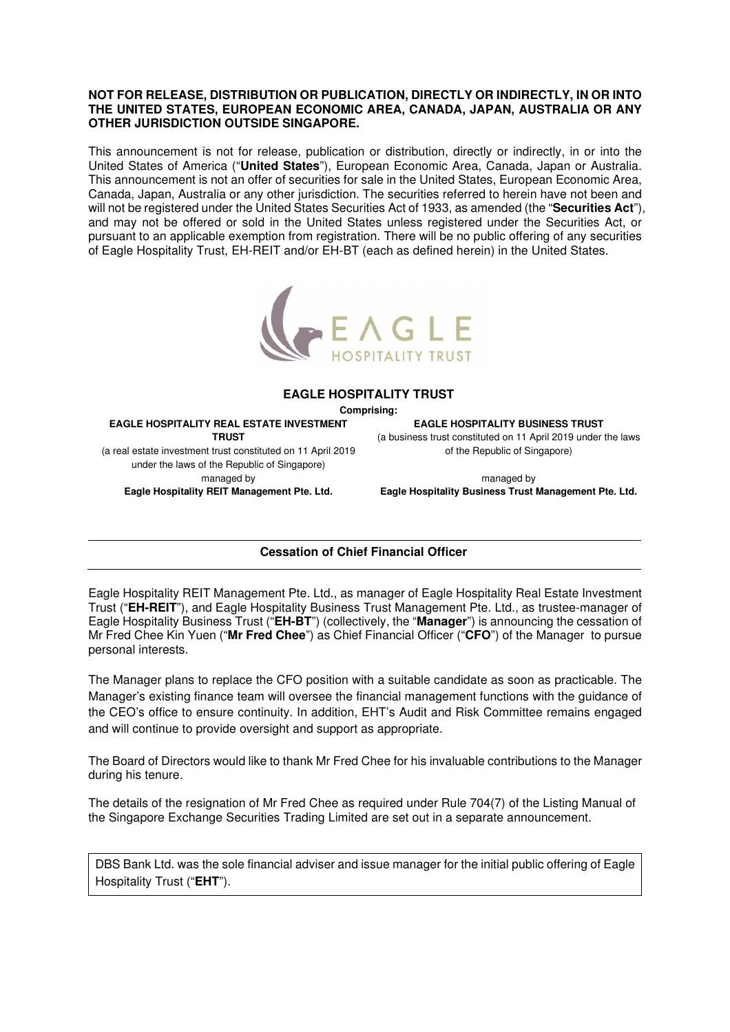## **NOT FOR RELEASE, DISTRIBUTION OR PUBLICATION, DIRECTLY OR INDIRECTLY, IN OR INTO THE UNITED STATES, EUROPEAN ECONOMIC AREA, CANADA, JAPAN, AUSTRALIA OR ANY OTHER JURISDICTION OUTSIDE SINGAPORE.**

This announcement is not for release, publication or distribution, directly or indirectly, in or into the United States of America ("**United States**"), European Economic Area, Canada, Japan or Australia. This announcement is not an offer of securities for sale in the United States, European Economic Area, Canada, Japan, Australia or any other jurisdiction. The securities referred to herein have not been and will not be registered under the United States Securities Act of 1933, as amended (the "**Securities Act**"), and may not be offered or sold in the United States unless registered under the Securities Act, or pursuant to an applicable exemption from registration. There will be no public offering of any securities of Eagle Hospitality Trust, EH-REIT and/or EH-BT (each as defined herein) in the United States.



## **EAGLE HOSPITALITY TRUST**

**Comprising:** 

**EAGLE HOSPITALITY REAL ESTATE INVESTMENT TRUST**  (a real estate investment trust constituted on 11 April 2019 under the laws of the Republic of Singapore) managed by

**Eagle Hospitality REIT Management Pte. Ltd.** 

**EAGLE HOSPITALITY BUSINESS TRUST** 

(a business trust constituted on 11 April 2019 under the laws of the Republic of Singapore)

managed by **Eagle Hospitality Business Trust Management Pte. Ltd.** 

## **Cessation of Chief Financial Officer**

Eagle Hospitality REIT Management Pte. Ltd., as manager of Eagle Hospitality Real Estate Investment Trust ("**EH-REIT**"), and Eagle Hospitality Business Trust Management Pte. Ltd., as trustee-manager of Eagle Hospitality Business Trust ("**EH-BT**") (collectively, the "**Manager**") is announcing the cessation of Mr Fred Chee Kin Yuen ("**Mr Fred Chee**") as Chief Financial Officer ("**CFO**") of the Manager to pursue personal interests.

The Manager plans to replace the CFO position with a suitable candidate as soon as practicable. The Manager's existing finance team will oversee the financial management functions with the guidance of the CEO's office to ensure continuity. In addition, EHT's Audit and Risk Committee remains engaged and will continue to provide oversight and support as appropriate.

The Board of Directors would like to thank Mr Fred Chee for his invaluable contributions to the Manager during his tenure.

The details of the resignation of Mr Fred Chee as required under Rule 704(7) of the Listing Manual of the Singapore Exchange Securities Trading Limited are set out in a separate announcement.

DBS Bank Ltd. was the sole financial adviser and issue manager for the initial public offering of Eagle Hospitality Trust ("**EHT**").